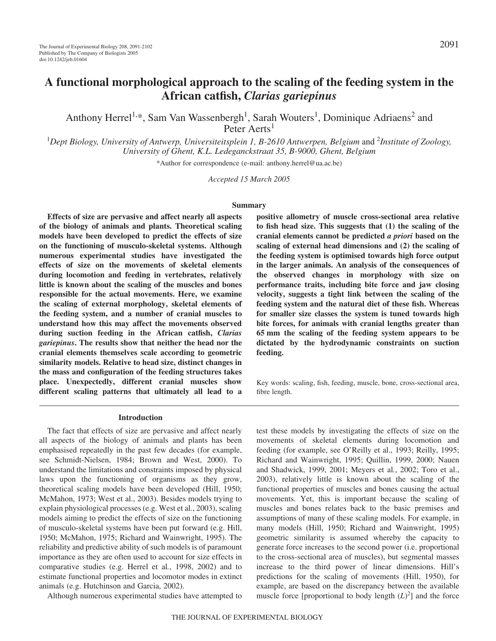# **A functional morphological approach to the scaling of the feeding system in the African catfish,** *Clarias gariepinus*

Anthony Herrel<sup>1,\*</sup>, Sam Van Wassenbergh<sup>1</sup>, Sarah Wouters<sup>1</sup>, Dominique Adriaens<sup>2</sup> and Peter Aerts<sup>1</sup>

<sup>1</sup>Dept Biology, University of Antwerp, Universiteitsplein 1, B-2610 Antwerpen, Belgium and <sup>2</sup>Institute of Zoology, *University of Ghent, K.L. Ledeganckstraat 35, B-9000, Ghent, Belgium*

\*Author for correspondence (e-mail: anthony.herrel@ua.ac.be)

*Accepted 15 March 2005*

#### **Summary**

**Effects of size are pervasive and affect nearly all aspects of the biology of animals and plants. Theoretical scaling models have been developed to predict the effects of size on the functioning of musculo-skeletal systems. Although numerous experimental studies have investigated the effects of size on the movements of skeletal elements during locomotion and feeding in vertebrates, relatively little is known about the scaling of the muscles and bones responsible for the actual movements. Here, we examine the scaling of external morphology, skeletal elements of the feeding system, and a number of cranial muscles to understand how this may affect the movements observed during suction feeding in the African catfish,** *Clarias gariepinus***. The results show that neither the head nor the cranial elements themselves scale according to geometric similarity models. Relative to head size, distinct changes in the mass and configuration of the feeding structures takes place. Unexpectedly, different cranial muscles show different scaling patterns that ultimately all lead to a**

**positive allometry of muscle cross-sectional area relative to fish head size. This suggests that (1) the scaling of the cranial elements cannot be predicted** *a priori* **based on the scaling of external head dimensions and (2) the scaling of the feeding system is optimised towards high force output in the larger animals. An analysis of the consequences of the observed changes in morphology with size on performance traits, including bite force and jaw closing velocity, suggests a tight link between the scaling of the feeding system and the natural diet of these fish. Whereas for smaller size classes the system is tuned towards high bite forces, for animals with cranial lengths greater than 65·mm the scaling of the feeding system appears to be dictated by the hydrodynamic constraints on suction feeding.**

Key words: scaling, fish, feeding, muscle, bone, cross-sectional area, fibre length.

#### **Introduction**

The fact that effects of size are pervasive and affect nearly all aspects of the biology of animals and plants has been emphasised repeatedly in the past few decades (for example, see Schmidt-Nielsen, 1984; Brown and West, 2000). To understand the limitations and constraints imposed by physical laws upon the functioning of organisms as they grow, theoretical scaling models have been developed (Hill, 1950; McMahon, 1973; West et al., 2003). Besides models trying to explain physiological processes (e.g. West et al*.*, 2003), scaling models aiming to predict the effects of size on the functioning of musculo-skeletal systems have been put forward (e.g. Hill, 1950; McMahon, 1975; Richard and Wainwright, 1995). The reliability and predictive ability of such models is of paramount importance as they are often used to account for size effects in comparative studies (e.g. Herrel et al*.*, 1998, 2002) and to estimate functional properties and locomotor modes in extinct animals (e.g. Hutchinson and Garcia, 2002).

Although numerous experimental studies have attempted to

test these models by investigating the effects of size on the movements of skeletal elements during locomotion and feeding (for example, see O'Reilly et al., 1993; Reilly, 1995; Richard and Wainwright, 1995; Quillin, 1999, 2000; Nauen and Shadwick, 1999, 2001; Meyers et al*.*, 2002; Toro et al., 2003), relatively little is known about the scaling of the functional properties of muscles and bones causing the actual movements. Yet, this is important because the scaling of muscles and bones relates back to the basic premises and assumptions of many of these scaling models. For example, in many models (Hill, 1950; Richard and Wainwright, 1995) geometric similarity is assumed whereby the capacity to generate force increases to the second power (i.e. proportional to the cross-sectional area of muscles), but segmental masses increase to the third power of linear dimensions. Hill's predictions for the scaling of movements (Hill, 1950), for example, are based on the discrepancy between the available muscle force [proportional to body length  $(L)^2$ ] and the force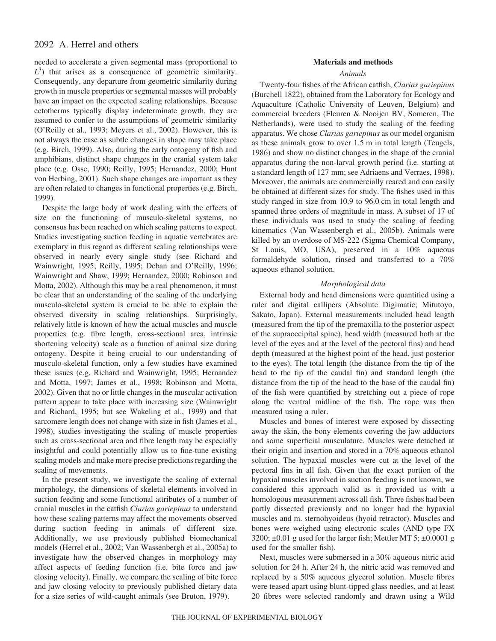needed to accelerate a given segmental mass (proportional to *L*3 ) that arises as a consequence of geometric similarity. Consequently, any departure from geometric similarity during growth in muscle properties or segmental masses will probably have an impact on the expected scaling relationships. Because ectotherms typically display indeterminate growth, they are assumed to confer to the assumptions of geometric similarity (O'Reilly et al., 1993; Meyers et al., 2002). However, this is not always the case as subtle changes in shape may take place (e.g. Birch, 1999). Also, during the early ontogeny of fish and amphibians, distinct shape changes in the cranial system take place (e.g. Osse, 1990; Reilly, 1995; Hernandez, 2000; Hunt von Herbing, 2001). Such shape changes are important as they are often related to changes in functional properties (e.g. Birch, 1999).

Despite the large body of work dealing with the effects of size on the functioning of musculo-skeletal systems, no consensus has been reached on which scaling patterns to expect. Studies investigating suction feeding in aquatic vertebrates are exemplary in this regard as different scaling relationships were observed in nearly every single study (see Richard and Wainwright, 1995; Reilly, 1995; Deban and O'Reilly, 1996; Wainwright and Shaw, 1999; Hernandez, 2000; Robinson and Motta, 2002). Although this may be a real phenomenon, it must be clear that an understanding of the scaling of the underlying musculo-skeletal system is crucial to be able to explain the observed diversity in scaling relationships. Surprisingly, relatively little is known of how the actual muscles and muscle properties (e.g. fibre length, cross-sectional area, intrinsic shortening velocity) scale as a function of animal size during ontogeny. Despite it being crucial to our understanding of musculo-skeletal function, only a few studies have examined these issues (e.g. Richard and Wainwright, 1995; Hernandez and Motta, 1997; James et al., 1998; Robinson and Motta, 2002). Given that no or little changes in the muscular activation pattern appear to take place with increasing size (Wainwright and Richard, 1995; but see Wakeling et al., 1999) and that sarcomere length does not change with size in fish (James et al., 1998), studies investigating the scaling of muscle properties such as cross-sectional area and fibre length may be especially insightful and could potentially allow us to fine-tune existing scaling models and make more precise predictions regarding the scaling of movements.

In the present study, we investigate the scaling of external morphology, the dimensions of skeletal elements involved in suction feeding and some functional attributes of a number of cranial muscles in the catfish *Clarias gariepinus* to understand how these scaling patterns may affect the movements observed during suction feeding in animals of different size. Additionally, we use previously published biomechanical models (Herrel et al., 2002; Van Wassenbergh et al., 2005a) to investigate how the observed changes in morphology may affect aspects of feeding function (i.e. bite force and jaw closing velocity). Finally, we compare the scaling of bite force and jaw closing velocity to previously published dietary data for a size series of wild-caught animals (see Bruton, 1979).

# **Materials and methods** *Animals*

Twenty-four fishes of the African catfish, *Clarias gariepinus* (Burchell 1822), obtained from the Laboratory for Ecology and Aquaculture (Catholic University of Leuven, Belgium) and commercial breeders (Fleuren & Nooijen BV, Someren, The Netherlands), were used to study the scaling of the feeding apparatus. We chose *Clarias gariepinus* as our model organism as these animals grow to over 1.5 m in total length (Teugels, 1986) and show no distinct changes in the shape of the cranial apparatus during the non-larval growth period (i.e. starting at a standard length of 127 mm; see Adriaens and Verraes, 1998). Moreover, the animals are commercially reared and can easily be obtained at different sizes for study. The fishes used in this study ranged in size from 10.9 to 96.0 cm in total length and spanned three orders of magnitude in mass. A subset of 17 of these individuals was used to study the scaling of feeding kinematics (Van Wassenbergh et al., 2005b). Animals were killed by an overdose of MS-222 (Sigma Chemical Company, St Louis, MO, USA), preserved in a 10% aqueous formaldehyde solution, rinsed and transferred to a 70% aqueous ethanol solution.

# *Morphological data*

External body and head dimensions were quantified using a ruler and digital callipers (Absolute Digimatic; Mitutoyo, Sakato, Japan). External measurements included head length (measured from the tip of the premaxilla to the posterior aspect of the supraoccipital spine), head width (measured both at the level of the eyes and at the level of the pectoral fins) and head depth (measured at the highest point of the head, just posterior to the eyes). The total length (the distance from the tip of the head to the tip of the caudal fin) and standard length (the distance from the tip of the head to the base of the caudal fin) of the fish were quantified by stretching out a piece of rope along the ventral midline of the fish. The rope was then measured using a ruler.

Muscles and bones of interest were exposed by dissecting away the skin, the bony elements covering the jaw adductors and some superficial musculature. Muscles were detached at their origin and insertion and stored in a 70% aqueous ethanol solution. The hypaxial muscles were cut at the level of the pectoral fins in all fish. Given that the exact portion of the hypaxial muscles involved in suction feeding is not known, we considered this approach valid as it provided us with a homologous measurement across all fish. Three fishes had been partly dissected previously and no longer had the hypaxial muscles and m. sternohyoideus (hyoid retractor). Muscles and bones were weighed using electronic scales (AND type FX 3200;  $\pm 0.01$  g used for the larger fish; Mettler MT 5;  $\pm 0.0001$  g used for the smaller fish).

Next, muscles were submersed in a 30% aqueous nitric acid solution for 24 h. After 24 h, the nitric acid was removed and replaced by a 50% aqueous glycerol solution. Muscle fibres were teased apart using blunt-tipped glass needles, and at least 20 fibres were selected randomly and drawn using a Wild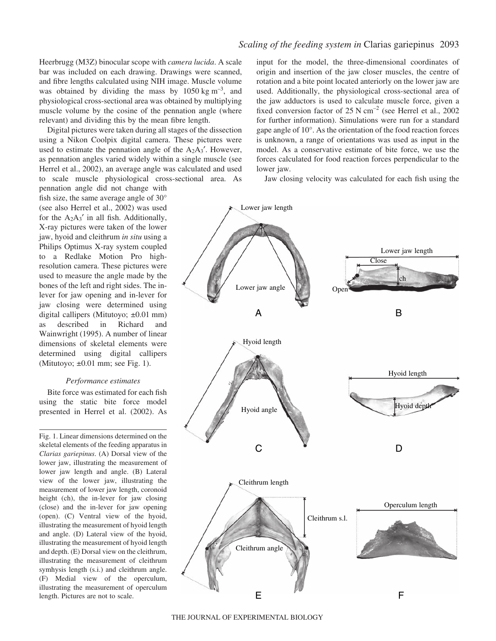*Scaling of the feeding system in* Clarias gariepinus 2093

Heerbrugg (M3Z) binocular scope with *camera lucida*. A scale bar was included on each drawing. Drawings were scanned, and fibre lengths calculated using NIH image. Muscle volume was obtained by dividing the mass by  $1050 \text{ kg m}^{-3}$ , and physiological cross-sectional area was obtained by multiplying muscle volume by the cosine of the pennation angle (where relevant) and dividing this by the mean fibre length.

Digital pictures were taken during all stages of the dissection using a Nikon Coolpix digital camera. These pictures were used to estimate the pennation angle of the  $A_2A_3$ <sup>'</sup>. However, as pennation angles varied widely within a single muscle (see Herrel et al., 2002), an average angle was calculated and used to scale muscle physiological cross-sectional area. As

pennation angle did not change with fish size, the same average angle of 30° (see also Herrel et al., 2002) was used for the  $A_2A_3'$  in all fish. Additionally, X-ray pictures were taken of the lower jaw, hyoid and cleithrum *in situ* using a Philips Optimus X-ray system coupled to a Redlake Motion Pro highresolution camera. These pictures were used to measure the angle made by the bones of the left and right sides. The inlever for jaw opening and in-lever for jaw closing were determined using digital callipers (Mitutoyo;  $\pm 0.01$  mm) as described in Richard and Wainwright (1995). A number of linear dimensions of skeletal elements were determined using digital callipers (Mitutoyo;  $\pm 0.01$  mm; see Fig. 1).

## *Performance estimates*

Bite force was estimated for each fish using the static bite force model presented in Herrel et al. (2002). As

Fig. 1. Linear dimensions determined on the skeletal elements of the feeding apparatus in *Clarias gariepinus*. (A) Dorsal view of the lower jaw, illustrating the measurement of lower jaw length and angle. (B) Lateral view of the lower jaw, illustrating the measurement of lower jaw length, coronoid height (ch), the in-lever for jaw closing (close) and the in-lever for jaw opening (open). (C) Ventral view of the hyoid, illustrating the measurement of hyoid length and angle. (D) Lateral view of the hyoid, illustrating the measurement of hyoid length and depth. (E) Dorsal view on the cleithrum, illustrating the measurement of cleithrum symhysis length (s.i.) and cleithrum angle. (F) Medial view of the operculum, illustrating the measurement of operculum length. Pictures are not to scale.

input for the model, the three-dimensional coordinates of origin and insertion of the jaw closer muscles, the centre of rotation and a bite point located anteriorly on the lower jaw are used. Additionally, the physiological cross-sectional area of the jaw adductors is used to calculate muscle force, given a fixed conversion factor of  $25 \text{ N cm}^{-2}$  (see Herrel et al., 2002) for further information). Simulations were run for a standard gape angle of 10°. As the orientation of the food reaction forces is unknown, a range of orientations was used as input in the model. As a conservative estimate of bite force, we use the forces calculated for food reaction forces perpendicular to the lower jaw.

Jaw closing velocity was calculated for each fish using the



THE JOURNAL OF EXPERIMENTAL BIOLOGY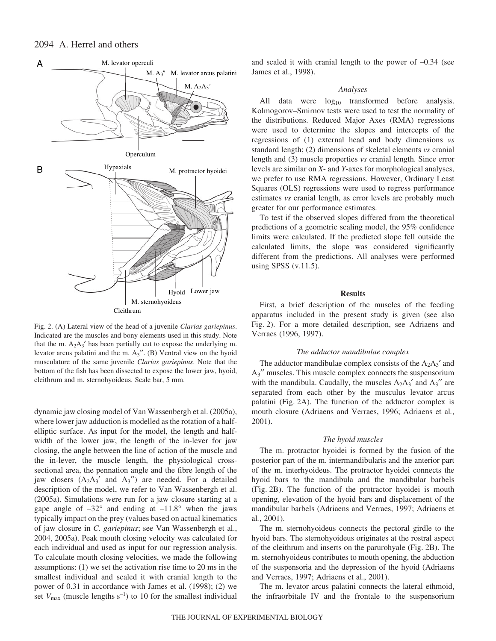

Fig. 2. (A) Lateral view of the head of a juvenile *Clarias gariepinus*. Indicated are the muscles and bony elements used in this study. Note that the m.  $A_2A_3'$  has been partially cut to expose the underlying m. levator arcus palatini and the m.  $A_3$ ". (B) Ventral view on the hyoid musculature of the same juvenile *Clarias gariepinus*. Note that the bottom of the fish has been dissected to expose the lower jaw, hyoid, cleithrum and m. sternohyoideus. Scale bar, 5 mm.

dynamic jaw closing model of Van Wassenbergh et al. (2005a), where lower jaw adduction is modelled as the rotation of a halfelliptic surface. As input for the model, the length and halfwidth of the lower jaw, the length of the in-lever for jaw closing, the angle between the line of action of the muscle and the in-lever, the muscle length, the physiological crosssectional area, the pennation angle and the fibre length of the jaw closers  $(A_2A_3'$  and  $A_3'')$  are needed. For a detailed description of the model, we refer to Van Wassenbergh et al. (2005a). Simulations were run for a jaw closure starting at a gape angle of  $-32^{\circ}$  and ending at  $-11.8^{\circ}$  when the jaws typically impact on the prey (values based on actual kinematics of jaw closure in *C. gariepinus*; see Van Wassenbergh et al., 2004, 2005a). Peak mouth closing velocity was calculated for each individual and used as input for our regression analysis. To calculate mouth closing velocities, we made the following assumptions:  $(1)$  we set the activation rise time to 20 ms in the smallest individual and scaled it with cranial length to the power of 0.31 in accordance with James et al. (1998); (2) we set  $V_{\text{max}}$  (muscle lengths  $s^{-1}$ ) to 10 for the smallest individual

and scaled it with cranial length to the power of –0.34 (see James et al., 1998).

# *Analyses*

All data were  $log_{10}$  transformed before analysis. Kolmogorov–Smirnov tests were used to test the normality of the distributions. Reduced Major Axes (RMA) regressions were used to determine the slopes and intercepts of the regressions of (1) external head and body dimensions *vs* standard length; (2) dimensions of skeletal elements *vs* cranial length and (3) muscle properties *vs* cranial length. Since error levels are similar on *X*- and *Y*-axes for morphological analyses, we prefer to use RMA regressions. However, Ordinary Least Squares (OLS) regressions were used to regress performance estimates *vs* cranial length, as error levels are probably much greater for our performance estimates.

To test if the observed slopes differed from the theoretical predictions of a geometric scaling model, the 95% confidence limits were calculated. If the predicted slope fell outside the calculated limits, the slope was considered significantly different from the predictions. All analyses were performed using SPSS (v.11.5).

# **Results**

First, a brief description of the muscles of the feeding apparatus included in the present study is given (see also Fig. 2). For a more detailed description, see Adriaens and Verraes (1996, 1997).

#### *The adductor mandibulae complex*

The adductor mandibulae complex consists of the  $A_2A_3'$  and A3′′ muscles. This muscle complex connects the suspensorium with the mandibula. Caudally, the muscles  $A_2A_3'$  and  $A_3''$  are separated from each other by the musculus levator arcus palatini (Fig. 2A). The function of the adductor complex is mouth closure (Adriaens and Verraes, 1996; Adriaens et al*.*, 2001).

#### *The hyoid muscles*

The m. protractor hyoidei is formed by the fusion of the posterior part of the m. intermandibularis and the anterior part of the m. interhyoideus. The protractor hyoidei connects the hyoid bars to the mandibula and the mandibular barbels (Fig. 2B). The function of the protractor hyoidei is mouth opening, elevation of the hyoid bars and displacement of the mandibular barbels (Adriaens and Verraes, 1997; Adriaens et al*.*, 2001).

The m. sternohyoideus connects the pectoral girdle to the hyoid bars. The sternohyoideus originates at the rostral aspect of the cleithrum and inserts on the parurohyale (Fig. 2B). The m. sternohyoideus contributes to mouth opening, the abduction of the suspensoria and the depression of the hyoid (Adriaens and Verraes, 1997; Adriaens et al., 2001).

The m. levator arcus palatini connects the lateral ethmoid, the infraorbitale IV and the frontale to the suspensorium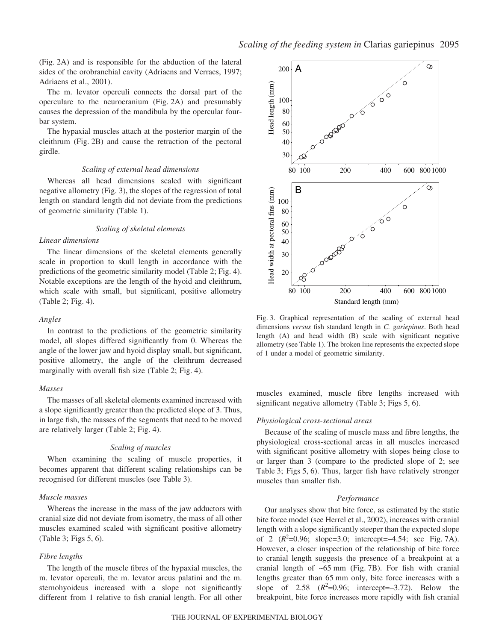(Fig. 2A) and is responsible for the abduction of the lateral sides of the orobranchial cavity (Adriaens and Verraes, 1997; Adriaens et al., 2001).

The m. levator operculi connects the dorsal part of the operculare to the neurocranium (Fig. 2A) and presumably causes the depression of the mandibula by the opercular fourbar system.

The hypaxial muscles attach at the posterior margin of the  $c$ leithrum (Fig. 2B) and cause the retraction of the pectoral girdle.

#### *Scaling of external head dimensions*

Whereas all head dimensions scaled with significant negative allometry (Fig. 3), the slopes of the regression of total length on standard length did not deviate from the predictions of geometric similarity (Table·1).

# *Scaling of skeletal elements*

## *Linear dimensions*

The linear dimensions of the skeletal elements generally scale in proportion to skull length in accordance with the predictions of the geometric similarity model (Table 2; Fig. 4). Notable exceptions are the length of the hyoid and cleithrum, which scale with small, but significant, positive allometry  $(Table 2; Fig. 4).$ 

#### *Angles*

In contrast to the predictions of the geometric similarity model, all slopes differed significantly from 0. Whereas the angle of the lower jaw and hyoid display small, but significant, positive allometry, the angle of the cleithrum decreased marginally with overall fish size (Table 2; Fig. 4).

#### *Masses*

The masses of all skeletal elements examined increased with a slope significantly greater than the predicted slope of 3. Thus, in large fish, the masses of the segments that need to be moved are relatively larger (Table 2; Fig. 4).

#### *Scaling of muscles*

When examining the scaling of muscle properties, it becomes apparent that different scaling relationships can be recognised for different muscles (see Table 3).

### *Muscle masses*

Whereas the increase in the mass of the jaw adductors with cranial size did not deviate from isometry, the mass of all other muscles examined scaled with significant positive allometry (Table 3; Figs  $5, 6$ ).

# *Fibre lengths*

The length of the muscle fibres of the hypaxial muscles, the m. levator operculi, the m. levator arcus palatini and the m. sternohyoideus increased with a slope not significantly different from 1 relative to fish cranial length. For all other



Fig. 3. Graphical representation of the scaling of external head dimensions *versus* fish standard length in *C. gariepinus*. Both head length (A) and head width (B) scale with significant negative allometry (see Table 1). The broken line represents the expected slope of 1 under a model of geometric similarity.

muscles examined, muscle fibre lengths increased with significant negative allometry (Table 3; Figs  $5, 6$ ).

#### *Physiological cross*-*sectional areas*

Because of the scaling of muscle mass and fibre lengths, the physiological cross-sectional areas in all muscles increased with significant positive allometry with slopes being close to or larger than 3 (compare to the predicted slope of 2; see Table 3; Figs 5, 6). Thus, larger fish have relatively stronger muscles than smaller fish.

#### *Performance*

Our analyses show that bite force, as estimated by the static bite force model (see Herrel et al., 2002), increases with cranial length with a slope significantly steeper than the expected slope of 2  $(R^2=0.96;$  slope=3.0; intercept=-4.54; see Fig. 7A). However, a closer inspection of the relationship of bite force to cranial length suggests the presence of a breakpoint at a cranial length of  $\sim 65$  mm (Fig. 7B). For fish with cranial lengths greater than 65 mm only, bite force increases with a slope of 2.58  $(R^2=0.96;$  intercept = -3.72). Below the breakpoint, bite force increases more rapidly with fish cranial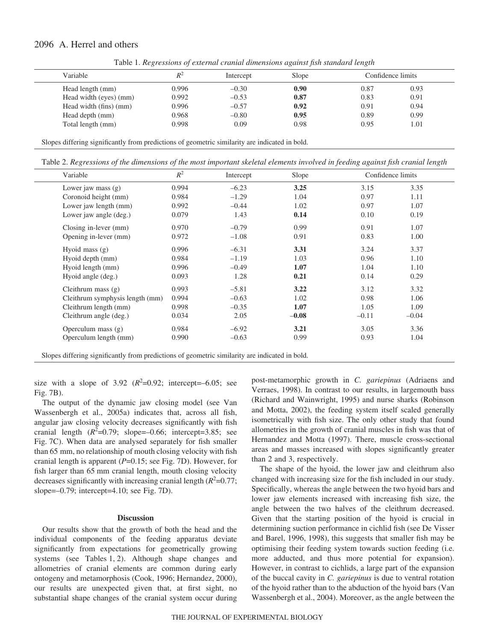| Variable               | $R^2$ | Intercept | Slope | Confidence limits |      |
|------------------------|-------|-----------|-------|-------------------|------|
| Head length (mm)       | 0.996 | $-0.30$   | 0.90  | 0.87              | 0.93 |
| Head width (eyes) (mm) | 0.992 | $-0.53$   | 0.87  | 0.83              | 0.91 |
| Head width (fins) (mm) | 0.996 | $-0.57$   | 0.92  | 0.91              | 0.94 |
| Head depth (mm)        | 0.968 | $-0.80$   | 0.95  | 0.89              | 0.99 |
| Total length (mm)      | 0.998 | 0.09      | 0.98  | 0.95              | 1.01 |

Table 1. *Regressions of external cranial dimensions against fish standard length*

Slopes differing significantly from predictions of geometric similarity are indicated in bold.

Table 2. *Regressions of the dimensions of the most important skeletal elements involved in feeding against fish cranial length*

| Variable                        | $R^2$ | Intercept | Slope   | Confidence limits |         |  |
|---------------------------------|-------|-----------|---------|-------------------|---------|--|
| Lower jaw mass $(g)$            | 0.994 | $-6.23$   | 3.25    | 3.15              | 3.35    |  |
| Coronoid height (mm)            | 0.984 | $-1.29$   | 1.04    | 0.97              | 1.11    |  |
| Lower jaw length (mm)           | 0.992 | $-0.44$   | 1.02    | 0.97              | 1.07    |  |
| Lower jaw angle (deg.)          | 0.079 | 1.43      | 0.14    | 0.10              | 0.19    |  |
| Closing in-lever (mm)           | 0.970 | $-0.79$   | 0.99    | 0.91              | 1.07    |  |
| Opening in-lever (mm)           | 0.972 | $-1.08$   | 0.91    | 0.83              | 1.00    |  |
| Hyoid mass $(g)$                | 0.996 | $-6.31$   | 3.31    | 3.24              | 3.37    |  |
| Hyoid depth (mm)                | 0.984 | $-1.19$   | 1.03    | 0.96              | 1.10    |  |
| Hyoid length (mm)               | 0.996 | $-0.49$   | 1.07    | 1.04              | 1.10    |  |
| Hyoid angle (deg.)              | 0.093 | 1.28      | 0.21    | 0.14              | 0.29    |  |
| Cleithrum mass $(g)$            | 0.993 | $-5.81$   | 3.22    | 3.12              | 3.32    |  |
| Cleithrum symphysis length (mm) | 0.994 | $-0.63$   | 1.02    | 0.98              | 1.06    |  |
| Cleithrum length (mm)           | 0.998 | $-0.35$   | 1.07    | 1.05              | 1.09    |  |
| Cleithrum angle (deg.)          | 0.034 | 2.05      | $-0.08$ | $-0.11$           | $-0.04$ |  |
| Operculum mass (g)              | 0.984 | $-6.92$   | 3.21    | 3.05              | 3.36    |  |
| Operculum length (mm)           | 0.990 | $-0.63$   | 0.99    | 0.93              | 1.04    |  |
|                                 |       |           |         |                   |         |  |

Slopes differing significantly from predictions of geometric similarity are indicated in bold.

size with a slope of  $3.92 \text{ (}R^2=0.92\text{; intercept}=-6.05\text{; see}$ Fig.  $7B$ ).

The output of the dynamic jaw closing model (see Van Wassenbergh et al., 2005a) indicates that, across all fish, angular jaw closing velocity decreases significantly with fish cranial length  $(R^2=0.79)$ ; slope=-0.66; intercept=3.85; see Fig. 7C). When data are analysed separately for fish smaller than 65 mm, no relationship of mouth closing velocity with fish cranial length is apparent  $(P=0.15)$ ; see Fig. 7D). However, for fish larger than 65 mm cranial length, mouth closing velocity decreases significantly with increasing cranial length  $(R<sup>2</sup>=0.77)$ ; slope= $-0.79$ ; intercept= $4.10$ ; see Fig. 7D).

#### **Discussion**

Our results show that the growth of both the head and the individual components of the feeding apparatus deviate significantly from expectations for geometrically growing systems (see Tables 1, 2). Although shape changes and allometries of cranial elements are common during early ontogeny and metamorphosis (Cook, 1996; Hernandez, 2000), our results are unexpected given that, at first sight, no substantial shape changes of the cranial system occur during

post-metamorphic growth in *C. gariepinus* (Adriaens and Verraes, 1998). In contrast to our results, in largemouth bass (Richard and Wainwright, 1995) and nurse sharks (Robinson and Motta, 2002), the feeding system itself scaled generally isometrically with fish size. The only other study that found allometries in the growth of cranial muscles in fish was that of Hernandez and Motta (1997). There, muscle cross-sectional areas and masses increased with slopes significantly greater than 2 and 3, respectively.

The shape of the hyoid, the lower jaw and cleithrum also changed with increasing size for the fish included in our study. Specifically, whereas the angle between the two hyoid bars and lower jaw elements increased with increasing fish size, the angle between the two halves of the cleithrum decreased. Given that the starting position of the hyoid is crucial in determining suction performance in cichlid fish (see De Visser and Barel, 1996, 1998), this suggests that smaller fish may be optimising their feeding system towards suction feeding (i.e. more adducted, and thus more potential for expansion). However, in contrast to cichlids, a large part of the expansion of the buccal cavity in *C. gariepinus* is due to ventral rotation of the hyoid rather than to the abduction of the hyoid bars (Van Wassenbergh et al., 2004). Moreover, as the angle between the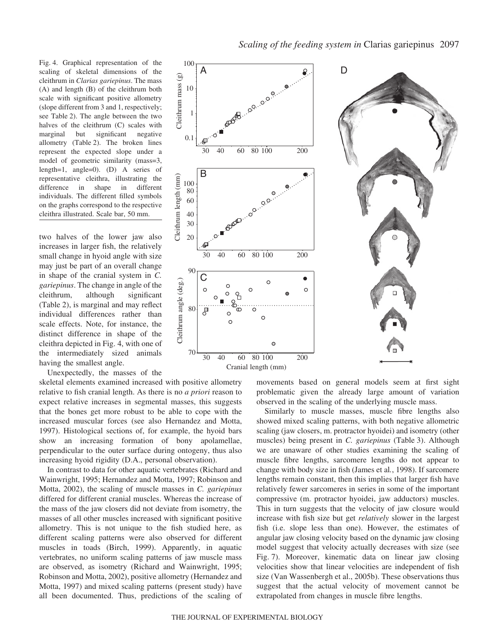cleithrum in *Clarias gariepinus*. The mass (A) and length (B) of the cleithrum both scale with significant positive allometry (slope different from 3 and 1, respectively; see Table 2). The angle between the two halves of the cleithrum (C) scales with marginal but significant negative allometry (Table 2). The broken lines represent the expected slope under a model of geometric similarity (mass=3, length=1, angle=0). (D) A series of representative cleithra, illustrating the difference in shape in different individuals. The different filled symbols on the graphs correspond to the respective cleithra illustrated. Scale bar, 50 mm.

two halves of the lower jaw also increases in larger fish, the relatively small change in hyoid angle with size may just be part of an overall change in shape of the cranial system in *C. gariepinus*. The change in angle of the cleithrum, although significant (Table 2), is marginal and may reflect individual differences rather than scale effects. Note, for instance, the distinct difference in shape of the cleithra depicted in Fig. 4, with one of the intermediately sized animals having the smallest angle.

Unexpectedly, the masses of the

skeletal elements examined increased with positive allometry relative to fish cranial length. As there is no *a priori* reason to expect relative increases in segmental masses, this suggests that the bones get more robust to be able to cope with the increased muscular forces (see also Hernandez and Motta, 1997). Histological sections of, for example, the hyoid bars show an increasing formation of bony apolamellae, perpendicular to the outer surface during ontogeny, thus also increasing hyoid rigidity (D.A., personal observation).

In contrast to data for other aquatic vertebrates (Richard and Wainwright, 1995; Hernandez and Motta, 1997; Robinson and Motta, 2002), the scaling of muscle masses in *C. gariepinus* differed for different cranial muscles. Whereas the increase of the mass of the jaw closers did not deviate from isometry, the masses of all other muscles increased with significant positive allometry. This is not unique to the fish studied here, as different scaling patterns were also observed for different muscles in toads (Birch, 1999). Apparently, in aquatic vertebrates, no uniform scaling patterns of jaw muscle mass are observed, as isometry (Richard and Wainwright, 1995; Robinson and Motta, 2002), positive allometry (Hernandez and Motta, 1997) and mixed scaling patterns (present study) have all been documented. Thus, predictions of the scaling of



movements based on general models seem at first sight problematic given the already large amount of variation observed in the scaling of the underlying muscle mass.

Similarly to muscle masses, muscle fibre lengths also showed mixed scaling patterns, with both negative allometric scaling (jaw closers, m. protractor hyoidei) and isometry (other muscles) being present in *C. gariepinus* (Table 3). Although we are unaware of other studies examining the scaling of muscle fibre lengths, sarcomere lengths do not appear to change with body size in fish (James et al*.*, 1998). If sarcomere lengths remain constant, then this implies that larger fish have relatively fewer sarcomeres in series in some of the important compressive (m. protractor hyoidei, jaw adductors) muscles. This in turn suggests that the velocity of jaw closure would increase with fish size but get *relatively* slower in the largest fish (i.e. slope less than one). However, the estimates of angular jaw closing velocity based on the dynamic jaw closing model suggest that velocity actually decreases with size (see Fig. 7). Moreover, kinematic data on linear jaw closing velocities show that linear velocities are independent of fish size (Van Wassenbergh et al., 2005b). These observations thus suggest that the actual velocity of movement cannot be extrapolated from changes in muscle fibre lengths.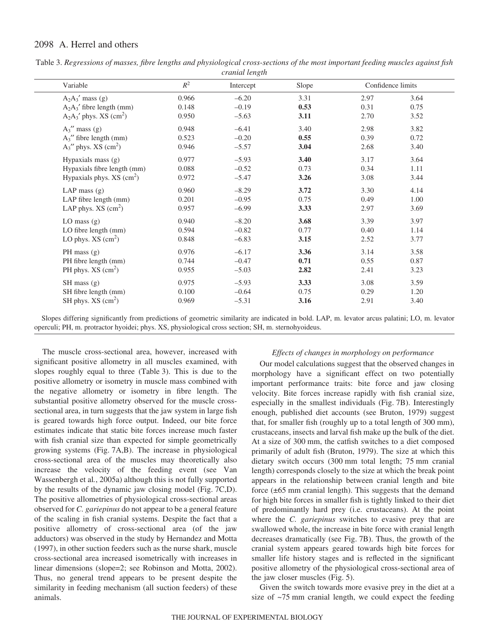| Table 3. Regressions of masses, fibre lengths and physiological cross-sections of the most important feeding muscles against fish |
|-----------------------------------------------------------------------------------------------------------------------------------|
| cranial length                                                                                                                    |

| Variable                                | $R^2$ | Intercept<br>$-6.20$ | Slope<br>3.31 | Confidence limits |      |
|-----------------------------------------|-------|----------------------|---------------|-------------------|------|
| $A_2A_3'$ mass (g)                      | 0.966 |                      |               | 2.97              | 3.64 |
| $A_2A_3'$ fibre length (mm)             | 0.148 | $-0.19$              | 0.53          | 0.31              | 0.75 |
| $A_2A_3'$ phys. XS (cm <sup>2</sup> )   | 0.950 | $-5.63$              | 3.11          | 2.70              | 3.52 |
| $A_3$ " mass (g)                        | 0.948 | $-6.41$              | 3.40          | 2.98              | 3.82 |
| $A_3$ " fibre length (mm)               | 0.523 | $-0.20$              | 0.55          | 0.39              | 0.72 |
| $A_3''$ phys. XS (cm <sup>2</sup> )     | 0.946 | $-5.57$              | 3.04          | 2.68              | 3.40 |
| Hypaxials mass (g)                      | 0.977 | $-5.93$              | 3.40          | 3.17              | 3.64 |
| Hypaxials fibre length (mm)             | 0.088 | $-0.52$              | 0.73          | 0.34              | 1.11 |
| Hypaxials phys. $XS$ (cm <sup>2</sup> ) | 0.972 | $-5.47$              | 3.26          | 3.08              | 3.44 |
| LAP mass $(g)$                          | 0.960 | $-8.29$              | 3.72          | 3.30              | 4.14 |
| LAP fibre length (mm)                   | 0.201 | $-0.95$              | 0.75          | 0.49              | 1.00 |
| LAP phys. $XS$ (cm <sup>2</sup> )       | 0.957 | $-6.99$              | 3.33          | 2.97              | 3.69 |
| $LO$ mass $(g)$                         | 0.940 | $-8.20$              | 3.68          | 3.39              | 3.97 |
| LO fibre length (mm)                    | 0.594 | $-0.82$              | 0.77          | 0.40              | 1.14 |
| LO phys. $XS$ (cm <sup>2</sup> )        | 0.848 | $-6.83$              | 3.15          | 2.52              | 3.77 |
| PH mass $(g)$                           | 0.976 | $-6.17$              | 3.36          | 3.14              | 3.58 |
| PH fibre length (mm)                    | 0.744 | $-0.47$              | 0.71          | 0.55              | 0.87 |
| PH phys. $XS$ (cm <sup>2</sup> )        | 0.955 | $-5.03$              | 2.82          | 2.41              | 3.23 |
| $SH$ mass $(g)$                         | 0.975 | $-5.93$              | 3.33          | 3.08              | 3.59 |
| SH fibre length (mm)                    | 0.100 | $-0.64$              | 0.75          | 0.29              | 1.20 |
| SH phys. $XS$ (cm <sup>2</sup> )        | 0.969 | $-5.31$              | 3.16          | 2.91              | 3.40 |
|                                         |       |                      |               |                   |      |

Slopes differing significantly from predictions of geometric similarity are indicated in bold. LAP, m. levator arcus palatini; LO, m. levator operculi; PH, m. protractor hyoidei; phys. XS, physiological cross section; SH, m. sternohyoideus.

The muscle cross-sectional area, however, increased with significant positive allometry in all muscles examined, with slopes roughly equal to three (Table 3). This is due to the positive allometry or isometry in muscle mass combined with the negative allometry or isometry in fibre length. The substantial positive allometry observed for the muscle crosssectional area, in turn suggests that the jaw system in large fish is geared towards high force output. Indeed, our bite force estimates indicate that static bite forces increase much faster with fish cranial size than expected for simple geometrically growing systems (Fig. 7A,B). The increase in physiological cross-sectional area of the muscles may theoretically also increase the velocity of the feeding event (see Van Wassenbergh et al*.*, 2005a) although this is not fully supported by the results of the dynamic jaw closing model (Fig. 7C,D). The positive allometries of physiological cross-sectional areas observed for *C. gariepinus* do not appear to be a general feature of the scaling in fish cranial systems. Despite the fact that a positive allometry of cross-sectional area (of the jaw adductors) was observed in the study by Hernandez and Motta (1997), in other suction feeders such as the nurse shark, muscle cross-sectional area increased isometrically with increases in linear dimensions (slope=2; see Robinson and Motta, 2002). Thus, no general trend appears to be present despite the similarity in feeding mechanism (all suction feeders) of these animals.

### *Effects of changes in morphology on performance*

Our model calculations suggest that the observed changes in morphology have a significant effect on two potentially important performance traits: bite force and jaw closing velocity. Bite forces increase rapidly with fish cranial size, especially in the smallest individuals (Fig. 7B). Interestingly enough, published diet accounts (see Bruton, 1979) suggest that, for smaller fish (roughly up to a total length of 300 mm), crustaceans, insects and larval fish make up the bulk of the diet. At a size of 300 mm, the catfish switches to a diet composed primarily of adult fish (Bruton, 1979). The size at which this dietary switch occurs (300 mm total length; 75 mm cranial length) corresponds closely to the size at which the break point appears in the relationship between cranial length and bite force  $(\pm 65 \text{ mm} \text{ cranial length})$ . This suggests that the demand for high bite forces in smaller fish is tightly linked to their diet of predominantly hard prey (i.e. crustaceans). At the point where the *C. gariepinus* switches to evasive prey that are swallowed whole, the increase in bite force with cranial length decreases dramatically (see Fig. 7B). Thus, the growth of the cranial system appears geared towards high bite forces for smaller life history stages and is reflected in the significant positive allometry of the physiological cross-sectional area of the jaw closer muscles (Fig. 5).

Given the switch towards more evasive prey in the diet at a size of  $~575$  mm cranial length, we could expect the feeding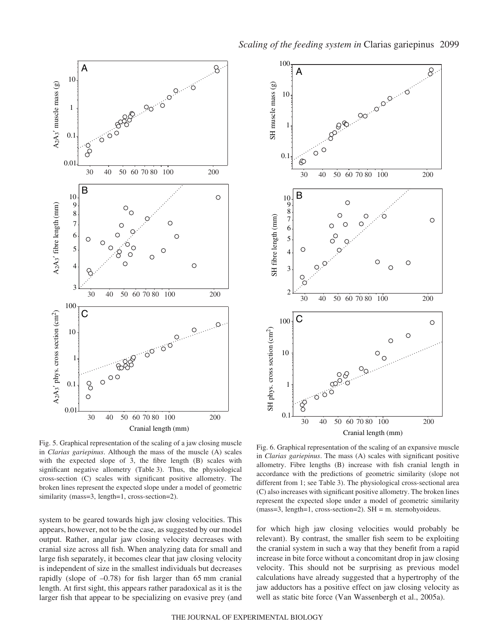

100 A 8 1898-190-00-00-01 SH muscle mass (g) SH muscle mass (g) 10 1  $\circ$ 0.1 © 30 40 50 60 70 80 100 200 B 9 10  $\circ$ 8  $\circ$ SH fibre length (mm)  $\bigcirc$ SH fibre length (mm) 7  $\circ$ O  $\circ$  $\circ$ 6  $\circ$ 5 Q  $\overline{O}$ O 4  $\circ$  $\circ$  $\circ$  $\circ$ 3 C 2 30 40 50 60 70 80 100 200 C 100  $\circ$ SH phys. cross section (cm<sup>2</sup>) SH phys. cross section (cm2)  $\circ$  $\circ$ 10  $\circ$  $\circ$ ු 80<br>ග<sup>0</sup> ග  $O_{\text{O}}$ 1 8 0.1 30 40 50 60 70 80 100 200 Cranial length (mm)

Fig. 5. Graphical representation of the scaling of a jaw closing muscle in *Clarias gariepinus*. Although the mass of the muscle (A) scales with the expected slope of 3, the fibre length (B) scales with significant negative allometry (Table 3). Thus, the physiological cross-section (C) scales with significant positive allometry. The broken lines represent the expected slope under a model of geometric similarity (mass=3, length=1, cross-section=2).

system to be geared towards high jaw closing velocities. This appears, however, not to be the case, as suggested by our model output. Rather, angular jaw closing velocity decreases with cranial size across all fish. When analyzing data for small and large fish separately, it becomes clear that jaw closing velocity is independent of size in the smallest individuals but decreases rapidly (slope of  $-0.78$ ) for fish larger than 65 mm cranial length. At first sight, this appears rather paradoxical as it is the larger fish that appear to be specializing on evasive prey (and

Fig. 6. Graphical representation of the scaling of an expansive muscle in *Clarias gariepinus*. The mass (A) scales with significant positive allometry. Fibre lengths (B) increase with fish cranial length in accordance with the predictions of geometric similarity (slope not different from 1; see Table 3). The physiological cross-sectional area (C) also increases with significant positive allometry. The broken lines represent the expected slope under a model of geometric similarity (mass=3, length=1, cross-section=2). SH = m. sternohyoideus.

for which high jaw closing velocities would probably be relevant). By contrast, the smaller fish seem to be exploiting the cranial system in such a way that they benefit from a rapid increase in bite force without a concomitant drop in jaw closing velocity. This should not be surprising as previous model calculations have already suggested that a hypertrophy of the jaw adductors has a positive effect on jaw closing velocity as well as static bite force (Van Wassenbergh et al., 2005a).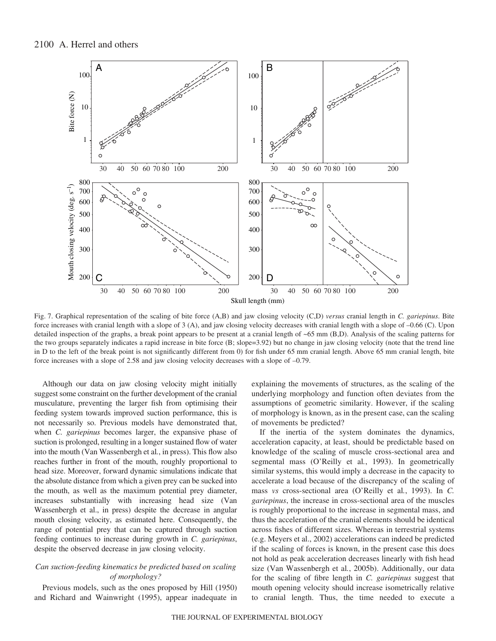

Fig. 7. Graphical representation of the scaling of bite force (A,B) and jaw closing velocity (C,D) *versus* cranial length in *C. gariepinus*. Bite force increases with cranial length with a slope of 3 (A), and jaw closing velocity decreases with cranial length with a slope of –0.66 (C). Upon detailed inspection of the graphs, a break point appears to be present at a cranial length of  $~65$  mm (B,D). Analysis of the scaling patterns for the two groups separately indicates a rapid increase in bite force (B; slope=3.92) but no change in jaw closing velocity (note that the trend line in D to the left of the break point is not significantly different from 0) for fish under 65 mm cranial length. Above 65 mm cranial length, bite force increases with a slope of 2.58 and jaw closing velocity decreases with a slope of –0.79.

Although our data on jaw closing velocity might initially suggest some constraint on the further development of the cranial musculature, preventing the larger fish from optimising their feeding system towards improved suction performance, this is not necessarily so. Previous models have demonstrated that, when *C. gariepinus* becomes larger, the expansive phase of suction is prolonged, resulting in a longer sustained flow of water into the mouth (Van Wassenbergh et al*.*, in press). This flow also reaches further in front of the mouth, roughly proportional to head size. Moreover, forward dynamic simulations indicate that the absolute distance from which a given prey can be sucked into the mouth, as well as the maximum potential prey diameter, increases substantially with increasing head size (Van Wassenbergh et al., in press) despite the decrease in angular mouth closing velocity, as estimated here. Consequently, the range of potential prey that can be captured through suction feeding continues to increase during growth in *C. gariepinus*, despite the observed decrease in jaw closing velocity.

# *Can suction-feeding kinematics be predicted based on scaling of morphology?*

Previous models, such as the ones proposed by Hill (1950) and Richard and Wainwright (1995), appear inadequate in explaining the movements of structures, as the scaling of the underlying morphology and function often deviates from the assumptions of geometric similarity. However, if the scaling of morphology is known, as in the present case, can the scaling of movements be predicted?

If the inertia of the system dominates the dynamics, acceleration capacity, at least, should be predictable based on knowledge of the scaling of muscle cross-sectional area and segmental mass (O'Reilly et al*.*, 1993). In geometrically similar systems, this would imply a decrease in the capacity to accelerate a load because of the discrepancy of the scaling of mass *vs* cross-sectional area (O'Reilly et al*.*, 1993). In *C. gariepinus*, the increase in cross-sectional area of the muscles is roughly proportional to the increase in segmental mass, and thus the acceleration of the cranial elements should be identical across fishes of different sizes. Whereas in terrestrial systems (e.g. Meyers et al., 2002) accelerations can indeed be predicted if the scaling of forces is known, in the present case this does not hold as peak acceleration decreases linearly with fish head size (Van Wassenbergh et al*.*, 2005b). Additionally, our data for the scaling of fibre length in *C. gariepinus* suggest that mouth opening velocity should increase isometrically relative to cranial length. Thus, the time needed to execute a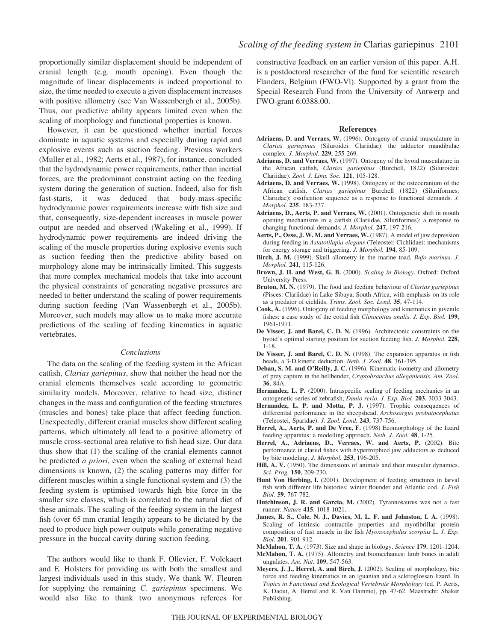proportionally similar displacement should be independent of cranial length (e.g. mouth opening). Even though the magnitude of linear displacements is indeed proportional to size, the time needed to execute a given displacement increases with positive allometry (see Van Wassenbergh et al., 2005b). Thus, our predictive ability appears limited even when the scaling of morphology and functional properties is known.

However, it can be questioned whether inertial forces dominate in aquatic systems and especially during rapid and explosive events such as suction feeding. Previous workers (Muller et al., 1982; Aerts et al., 1987), for instance, concluded that the hydrodynamic power requirements, rather than inertial forces, are the predominant constraint acting on the feeding system during the generation of suction. Indeed, also for fish fast-starts, it was deduced that body-mass-specific hydrodynamic power requirements increase with fish size and that, consequently, size-dependent increases in muscle power output are needed and observed (Wakeling et al., 1999). If hydrodynamic power requirements are indeed driving the scaling of the muscle properties during explosive events such as suction feeding then the predictive ability based on morphology alone may be intrinsically limited. This suggests that more complex mechanical models that take into account the physical constraints of generating negative pressures are needed to better understand the scaling of power requirements during suction feeding (Van Wassenbergh et al., 2005b). Moreover, such models may allow us to make more accurate predictions of the scaling of feeding kinematics in aquatic vertebrates.

# *Conclusions*

The data on the scaling of the feeding system in the African catfish, *Clarias gariepinus*, show that neither the head nor the cranial elements themselves scale according to geometric similarity models. Moreover, relative to head size, distinct changes in the mass and configuration of the feeding structures (muscles and bones) take place that affect feeding function. Unexpectedly, different cranial muscles show different scaling patterns, which ultimately all lead to a positive allometry of muscle cross-sectional area relative to fish head size. Our data thus show that (1) the scaling of the cranial elements cannot be predicted *a priori*, even when the scaling of external head dimensions is known, (2) the scaling patterns may differ for different muscles within a single functional system and (3) the feeding system is optimised towards high bite force in the smaller size classes, which is correlated to the natural diet of these animals. The scaling of the feeding system in the largest fish (over 65 mm cranial length) appears to be dictated by the need to produce high power outputs while generating negative pressure in the buccal cavity during suction feeding.

The authors would like to thank F. Ollevier, F. Volckaert and E. Holsters for providing us with both the smallest and largest individuals used in this study. We thank W. Fleuren for supplying the remaining *C. gariepinus* specimens. We would also like to thank two anonymous referees for constructive feedback on an earlier version of this paper. A.H. is a postdoctoral researcher of the fund for scientific research Flanders, Belgium (FWO-Vl). Supported by a grant from the Special Research Fund from the University of Antwerp and FWO-grant 6.0388.00.

#### **References**

- **Adriaens, D. and Verraes, W.** (1996). Ontogeny of cranial musculature in *Clarias gariepinus* (Siluroidei: Clariidae): the adductor mandibulae complex. *J. Morphol.* **229**, 255-269.
- **Adriaens, D. and Verraes, W.** (1997). Ontogeny of the hyoid musculature in the African catfish, *Clarias gariepinus* (Burchell, 1822) (Siluroidei: Clariidae). *Zool. J. Linn. Soc.* **121**, 105-128.
- **Adriaens, D. and Verraes, W.** (1998). Ontogeny of the osteocranium of the African catfish, *Clarias gariepinus* Burchell (1822) (Siluriformes: Clariidae): ossification sequence as a response to functional demands. *J. Morphol*. **235**, 183-237.
- **Adriaens, D., Aerts, P. and Verraes, W.** (2001). Ontogenetic shift in mouth opening mechanisms in a catfish (Clariidae, Siluriformes): a response to changing functional demands. *J. Morphol.* **247**, 197-216.
- **Aerts, P., Osse, J. W. M. and Verraes, W.** (1987). A model of jaw depression during feeding in *Astatotilapia elegans* (Teleostei: Cichlidae): mechanisms for energy storage and triggering. *J. Morphol.* **194**, 85-109.
- **Birch, J. M.** (1999). Skull allometry in the marine toad, *Bufo marinus*. *J. Morphol.* **241**, 115-126.
- **Brown, J. H. and West, G. B.** (2000). *Scaling in Biology*. Oxford: Oxford University Press.
- **Bruton, M. N.** (1979). The food and feeding behaviour of *Clarias gariepinus* (Pisces: Clariidae) in Lake Sibaya, South Africa, with emphasis on its role as a predator of cichlids. *Trans. Zool. Soc. Lond.* **35**, 47-114.
- **Cook, A.** (1996). Ontogeny of feeding morphology and kinematics in juvenile fishes: a case study of the cottid fish *Clinocottus analis*. *J. Exp. Biol.* **199**, 1961-1971.
- **De Visser, J. and Barel, C. D. N.** (1996). Architectonic constraints on the hyoid's optimal starting position for suction feeding fish. *J. Morphol.* **228**, 1-18.
- **De Visser, J. and Barel, C. D. N.** (1998). The expansion apparatus in fish heads, a 3-D kinetic deduction. *Neth. J. Zool.* **48**, 361-395.
- **Deban, S. M. and O'Reilly, J. C.** (1996). Kinematic isometry and allometry of prey capture in the hellbender, *Cryptobranchus alleganiensis. Am. Zool*. **36**, 84A.
- **Hernandez, L. P.** (2000). Intraspecific scaling of feeding mechanics in an ontogenetic series of zebrafish, *Danio rerio*. *J. Exp. Biol.* **203**, 3033-3043.
- **Hernandez, L. P. and Motta, P. J.** (1997). Trophic consequences of differential performance in the sheepshead, *Archosargus probatocephalus* (Teleostei, Sparidae). *J. Zool. Lond.* **243**, 737-756.
- **Herrel, A., Aerts, P. and De Vree, F.** (1998) Ecomorphology of the lizard feeding apparatus: a modelling approach. *Neth. J. Zool.* **48**, 1-25.
- **Herrel, A., Adriaens, D., Verraes, W. and Aerts, P.** (2002). Bite performance in clariid fishes with hypertrophied jaw adductors as deduced by bite modeling. *J. Morphol.* **253**, 196-205.
- **Hill, A. V.** (1950). The dimensions of animals and their muscular dynamics. *Sci. Prog.* **150**, 209-230.
- **Hunt Von Herbing, I.** (2001). Development of feeding structures in larval fish with different life histories: winter flounder and Atlantic cod. *J. Fish Biol.* **59**, 767-782.
- **Hutchinson, J. R. and Garcia, M.** (2002). Tyrannosaurus was not a fast runner. *Nature* **415**, 1018-1021.
- **James, R. S., Cole, N. J., Davies, M. L. F. and Johnston, I. A.** (1998). Scaling of intrinsic contractile properties and myofibrillar protein composition of fast muscle in the fish *Myoxocephalus scorpius* L. *J. Exp. Biol.* **201**, 901-912.
- **McMahon, T. A.** (1973). Size and shape in biology. *Science* **179**, 1201-1204. **McMahon, T. A.** (1975). Allometry and biomechanics: limb bones in adult
- ungulates. *Am. Nat.* **109**, 547-563.
- **Meyers, J. J., Herrel, A. and Birch, J.** (2002). Scaling of morphology, bite force and feeding kinematics in an iguanian and a scleroglossan lizard. In *Topics in Functional and Ecological Vertebrate Morphology* (ed. P. Aerts, K. Daout, A. Herrel and R. Van Damme), pp. 47-62. Maastricht: Shaker Publishing.